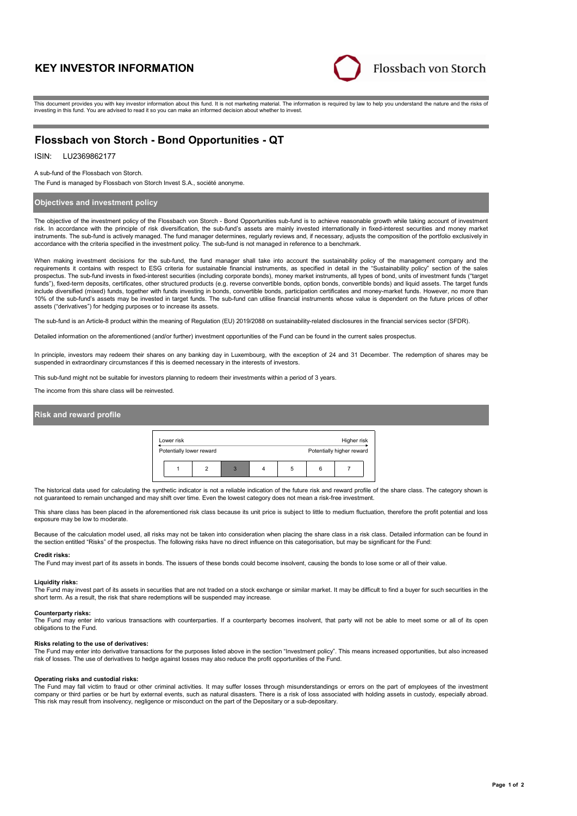# **KEY INVESTOR INFORMATION**



This document provides you with key investor information about this fund. It is not marketing material. The information is required by law to help you understand the nature and the risks of investing in this fund. You are advised to read it so you can make an informed decision about whether to invest.

# **Flossbach von Storch - Bond Opportunities - QT**

## ISIN: LU2369862177

A sub-fund of the Flossbach von Storch.

The Fund is managed by Flossbach von Storch Invest S.A., société anonyme.

## **Objectives and investment policy**

The objective of the investment policy of the Flossbach von Storch - Bond Opportunities sub-fund is to achieve reasonable growth while taking account of investment risk. In accordance with the principle of risk diversification, the sub-fund's assets are mainly invested internationally in fixed-interest securities and money market instruments. The sub-fund is actively managed. The fund manager determines, regularly reviews and, if necessary, adjusts the composition of the portfolio exclusively in accordance with the criteria specified in the investment policy. The sub-fund is not managed in reference to a benchmark.

When making investment decisions for the sub-fund, the fund manager shall take into account the sustainability policy of the management company and the requirements it contains with respect to ESG criteria for sustainable financial instruments, as specified in detail in the "Sustainability policy" section of the sales prospectus. The sub-fund invests in fixed-interest securities (including corporate bonds), money market instruments, all types of bond, units of investment funds ("target funds"), fixed-term deposits, certificates, other structured products (e.g. reverse convertible bonds, option bonds, convertible bonds) and liquid assets. The target funds include diversified (mixed) funds, together with funds investing in bonds, convertible bonds, participation certificates and money-market funds. However, no more than 10% of the sub-fund's assets may be invested in target funds. The sub-fund can utilise financial instruments whose value is dependent on the future prices of other assets ("derivatives") for hedging purposes or to increase its assets.

The sub-fund is an Article-8 product within the meaning of Regulation (EU) 2019/2088 on sustainability-related disclosures in the financial services sector (SFDR).

Detailed information on the aforementioned (and/or further) investment opportunities of the Fund can be found in the current sales prospectus.

In principle, investors may redeem their shares on any banking day in Luxembourg, with the exception of 24 and 31 December. The redemption of shares may be suspended in extraordinary circumstances if this is deemed necessary in the interests of investors.

This sub-fund might not be suitable for investors planning to redeem their investments within a period of 3 years

The income from this share class will be reinvested.

## **Risk and reward profile**



The historical data used for calculating the synthetic indicator is not a reliable indication of the future risk and reward profile of the share class. The category shown is not guaranteed to remain unchanged and may shift over time. Even the lowest category does not mean a risk-free investment.

This share class has been placed in the aforementioned risk class because its unit price is subject to little to medium fluctuation, therefore the profit potential and loss exposure may be low to moderate.

Because of the calculation model used, all risks may not be taken into consideration when placing the share class in a risk class. Detailed information can be found in the section entitled "Risks" of the prospectus. The following risks have no direct influence on this categorisation, but may be significant for the Fund:

## **Credit risks:**

The Fund may invest part of its assets in bonds. The issuers of these bonds could become insolvent, causing the bonds to lose some or all of their value.

#### **Liquidity risks:**

The Fund may invest part of its assets in securities that are not traded on a stock exchange or similar market. It may be difficult to find a buyer for such securities in the short term. As a result, the risk that share redemptions will be suspended may increase.

#### **Counterparty risks:**

The Fund may enter into various transactions with counterparties. If a counterparty becomes insolvent, that party will not be able to meet some or all of its open obligations to the Fund.

### **Risks relating to the use of derivatives:**

The Fund may enter into derivative transactions for the purposes listed above in the section "Investment policy". This means increased opportunities, but also increased risk of losses. The use of derivatives to hedge against losses may also reduce the profit opportunities of the Fund.

### **Operating risks and custodial risks:**

The Fund may fall victim to fraud or other criminal activities. It may suffer losses through misunderstandings or errors on the part of employees of the investment company or third parties or be hurt by external events, such as natural disasters. There is a risk of loss associated with holding assets in custody, especially abroad. This risk may result from insolvency, negligence or misconduct on the part of the Depositary or a sub-depositary.